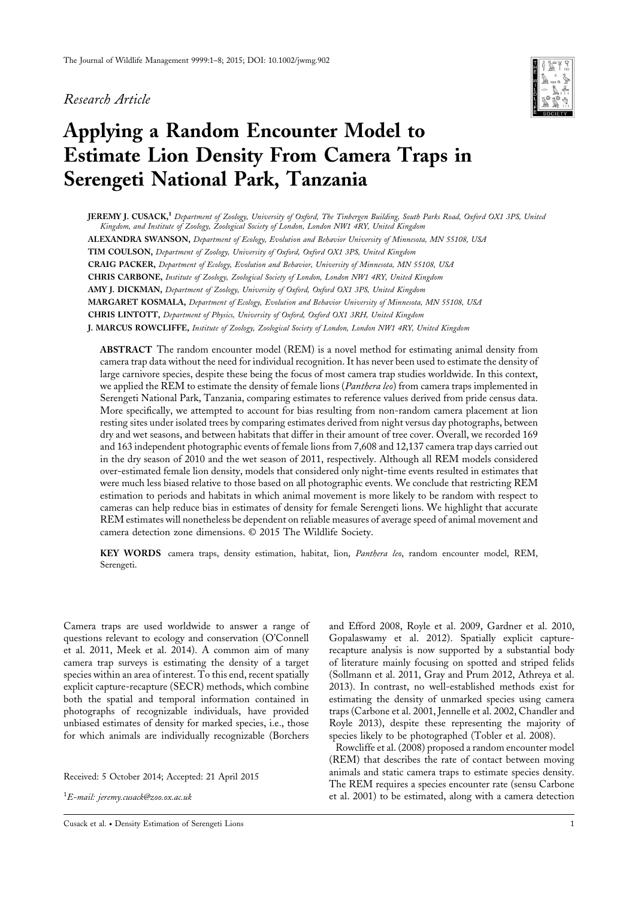## Research Article



# Applying a Random Encounter Model to Estimate Lion Density From Camera Traps in Serengeti National Park, Tanzania

JEREMY J. CUSACK,<sup>1</sup> Department of Zoology, University of Oxford, The Tinbergen Building, South Parks Road, Oxford OX1 3PS, United Kingdom, and Institute of Zoology, Zoological Society of London, London NW1 4RY, United Kingdom ALEXANDRA SWANSON, Department of Ecology, Evolution and Behavior University of Minnesota, MN 55108, USA TIM COULSON, Department of Zoology, University of Oxford, Oxford OX1 3PS, United Kingdom CRAIG PACKER, Department of Ecology, Evolution and Behavior, University of Minnesota, MN 55108, USA CHRIS CARBONE, Institute of Zoology, Zoological Society of London, London NW1 4RY, United Kingdom AMY J. DICKMAN, Department of Zoology, University of Oxford, Oxford OX1 3PS, United Kingdom MARGARET KOSMALA, Department of Ecology, Evolution and Behavior University of Minnesota, MN 55108, USA CHRIS LINTOTT, Department of Physics, University of Oxford, Oxford OX1 3RH, United Kingdom J. MARCUS ROWCLIFFE, Institute of Zoology, Zoological Society of London, London NW1 4RY, United Kingdom

ABSTRACT The random encounter model (REM) is a novel method for estimating animal density from camera trap data without the need for individual recognition. It has never been used to estimate the density of large carnivore species, despite these being the focus of most camera trap studies worldwide. In this context, we applied the REM to estimate the density of female lions (*Panthera leo*) from camera traps implemented in Serengeti National Park, Tanzania, comparing estimates to reference values derived from pride census data. More specifically, we attempted to account for bias resulting from non-random camera placement at lion resting sites under isolated trees by comparing estimates derived from night versus day photographs, between dry and wet seasons, and between habitats that differ in their amount of tree cover. Overall, we recorded 169 and 163 independent photographic events of female lions from 7,608 and 12,137 camera trap days carried out in the dry season of 2010 and the wet season of 2011, respectively. Although all REM models considered over-estimated female lion density, models that considered only night-time events resulted in estimates that were much less biased relative to those based on all photographic events. We conclude that restricting REM estimation to periods and habitats in which animal movement is more likely to be random with respect to cameras can help reduce bias in estimates of density for female Serengeti lions. We highlight that accurate REM estimates will nonetheless be dependent on reliable measures of average speed of animal movement and camera detection zone dimensions. © 2015 The Wildlife Society.

KEY WORDS camera traps, density estimation, habitat, lion, Panthera leo, random encounter model, REM, Serengeti.

Camera traps are used worldwide to answer a range of questions relevant to ecology and conservation (O'Connell et al. 2011, Meek et al. 2014). A common aim of many camera trap surveys is estimating the density of a target species within an area of interest. To this end, recent spatially explicit capture-recapture (SECR) methods, which combine both the spatial and temporal information contained in photographs of recognizable individuals, have provided unbiased estimates of density for marked species, i.e., those for which animals are individually recognizable (Borchers

Received: 5 October 2014; Accepted: 21 April 2015

 $^1E\!\!-\!$ mail: jeremy.cusack@zoo.ox.ac.uk

and Efford 2008, Royle et al. 2009, Gardner et al. 2010, Gopalaswamy et al. 2012). Spatially explicit capturerecapture analysis is now supported by a substantial body of literature mainly focusing on spotted and striped felids (Sollmann et al. 2011, Gray and Prum 2012, Athreya et al. 2013). In contrast, no well-established methods exist for estimating the density of unmarked species using camera traps (Carbone et al. 2001, Jennelle et al. 2002, Chandler and Royle 2013), despite these representing the majority of species likely to be photographed (Tobler et al. 2008).

Rowcliffe et al. (2008) proposed a random encounter model (REM) that describes the rate of contact between moving animals and static camera traps to estimate species density. The REM requires a species encounter rate (sensu Carbone et al. 2001) to be estimated, along with a camera detection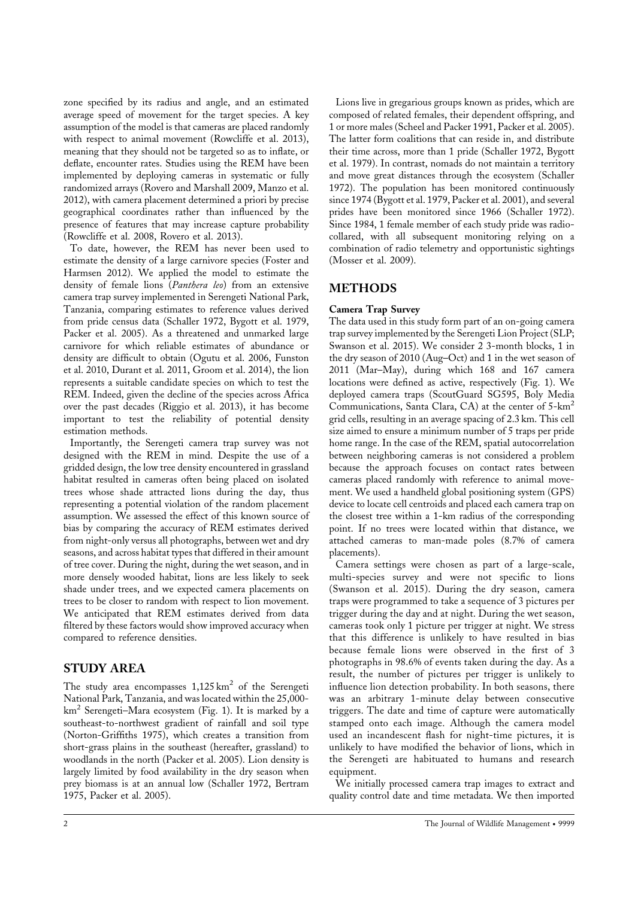zone specified by its radius and angle, and an estimated average speed of movement for the target species. A key assumption of the model is that cameras are placed randomly with respect to animal movement (Rowcliffe et al. 2013), meaning that they should not be targeted so as to inflate, or deflate, encounter rates. Studies using the REM have been implemented by deploying cameras in systematic or fully randomized arrays (Rovero and Marshall 2009, Manzo et al. 2012), with camera placement determined a priori by precise geographical coordinates rather than influenced by the presence of features that may increase capture probability (Rowcliffe et al. 2008, Rovero et al. 2013).

To date, however, the REM has never been used to estimate the density of a large carnivore species (Foster and Harmsen 2012). We applied the model to estimate the density of female lions (Panthera leo) from an extensive camera trap survey implemented in Serengeti National Park, Tanzania, comparing estimates to reference values derived from pride census data (Schaller 1972, Bygott et al. 1979, Packer et al. 2005). As a threatened and unmarked large carnivore for which reliable estimates of abundance or density are difficult to obtain (Ogutu et al. 2006, Funston et al. 2010, Durant et al. 2011, Groom et al. 2014), the lion represents a suitable candidate species on which to test the REM. Indeed, given the decline of the species across Africa over the past decades (Riggio et al. 2013), it has become important to test the reliability of potential density estimation methods.

Importantly, the Serengeti camera trap survey was not designed with the REM in mind. Despite the use of a gridded design, the low tree density encountered in grassland habitat resulted in cameras often being placed on isolated trees whose shade attracted lions during the day, thus representing a potential violation of the random placement assumption. We assessed the effect of this known source of bias by comparing the accuracy of REM estimates derived from night-only versus all photographs, between wet and dry seasons, and across habitat types that differed in their amount of tree cover. During the night, during the wet season, and in more densely wooded habitat, lions are less likely to seek shade under trees, and we expected camera placements on trees to be closer to random with respect to lion movement. We anticipated that REM estimates derived from data filtered by these factors would show improved accuracy when compared to reference densities.

# STUDY AREA

The study area encompasses  $1,125 \text{ km}^2$  of the Serengeti National Park, Tanzania, and was located within the 25,000 km<sup>2</sup> Serengeti–Mara ecosystem (Fig. 1). It is marked by a southeast-to-northwest gradient of rainfall and soil type (Norton-Griffiths 1975), which creates a transition from short-grass plains in the southeast (hereafter, grassland) to woodlands in the north (Packer et al. 2005). Lion density is largely limited by food availability in the dry season when prey biomass is at an annual low (Schaller 1972, Bertram 1975, Packer et al. 2005).

Lions live in gregarious groups known as prides, which are composed of related females, their dependent offspring, and 1 or more males (Scheel and Packer 1991, Packer et al. 2005). The latter form coalitions that can reside in, and distribute their time across, more than 1 pride (Schaller 1972, Bygott et al. 1979). In contrast, nomads do not maintain a territory and move great distances through the ecosystem (Schaller 1972). The population has been monitored continuously since 1974 (Bygott et al. 1979, Packer et al. 2001), and several prides have been monitored since 1966 (Schaller 1972). Since 1984, 1 female member of each study pride was radiocollared, with all subsequent monitoring relying on a combination of radio telemetry and opportunistic sightings (Mosser et al. 2009).

# METHODS

## Camera Trap Survey

The data used in this study form part of an on-going camera trap survey implemented by the Serengeti Lion Project (SLP; Swanson et al. 2015). We consider 2 3-month blocks, 1 in the dry season of 2010 (Aug–Oct) and 1 in the wet season of 2011 (Mar–May), during which 168 and 167 camera locations were defined as active, respectively (Fig. 1). We deployed camera traps (ScoutGuard SG595, Boly Media Communications, Santa Clara, CA) at the center of 5-km<sup>2</sup> grid cells, resulting in an average spacing of 2.3 km. This cell size aimed to ensure a minimum number of 5 traps per pride home range. In the case of the REM, spatial autocorrelation between neighboring cameras is not considered a problem because the approach focuses on contact rates between cameras placed randomly with reference to animal movement. We used a handheld global positioning system (GPS) device to locate cell centroids and placed each camera trap on the closest tree within a 1-km radius of the corresponding point. If no trees were located within that distance, we attached cameras to man-made poles (8.7% of camera placements).

Camera settings were chosen as part of a large-scale, multi-species survey and were not specific to lions (Swanson et al. 2015). During the dry season, camera traps were programmed to take a sequence of 3 pictures per trigger during the day and at night. During the wet season, cameras took only 1 picture per trigger at night. We stress that this difference is unlikely to have resulted in bias because female lions were observed in the first of 3 photographs in 98.6% of events taken during the day. As a result, the number of pictures per trigger is unlikely to influence lion detection probability. In both seasons, there was an arbitrary 1-minute delay between consecutive triggers. The date and time of capture were automatically stamped onto each image. Although the camera model used an incandescent flash for night-time pictures, it is unlikely to have modified the behavior of lions, which in the Serengeti are habituated to humans and research equipment.

We initially processed camera trap images to extract and quality control date and time metadata. We then imported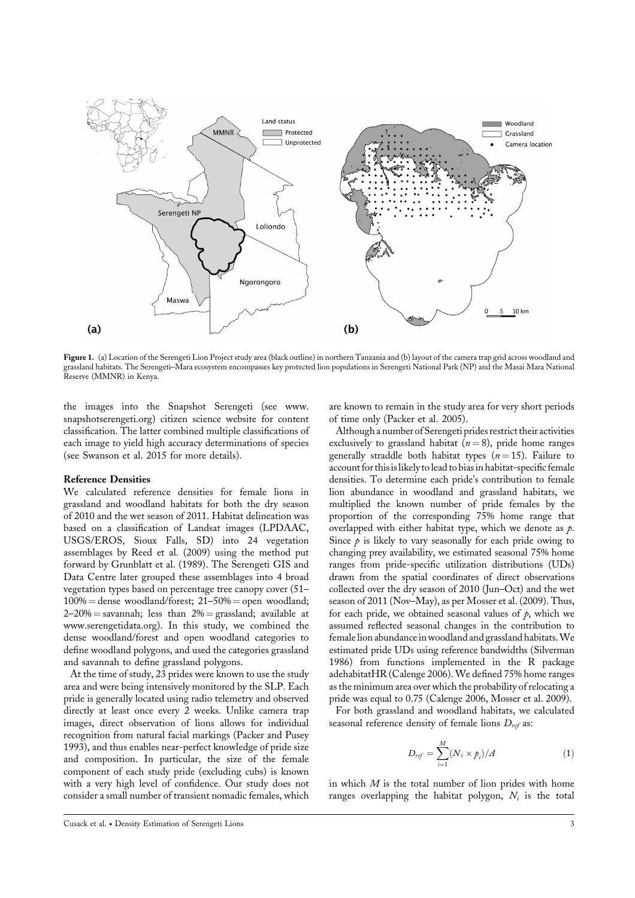

Figure 1. (a) Location of the Serengeti Lion Project study area (black outline) in northern Tanzania and (b) layout of the camera trap grid across woodland and grassland habitats. The Serengeti–Mara ecosystem encompasses key protected lion populations in Serengeti National Park (NP) and the Masai Mara National Reserve (MMNR) in Kenya.

the images into the Snapshot Serengeti (see www. snapshotserengeti.org) citizen science website for content classification. The latter combined multiple classifications of each image to yield high accuracy determinations of species (see Swanson et al. 2015 for more details).

#### Reference Densities

We calculated reference densities for female lions in grassland and woodland habitats for both the dry season of 2010 and the wet season of 2011. Habitat delineation was based on a classification of Landsat images (LPDAAC, USGS/EROS, Sioux Falls, SD) into 24 vegetation assemblages by Reed et al. (2009) using the method put forward by Grunblatt et al. (1989). The Serengeti GIS and Data Centre later grouped these assemblages into 4 broad vegetation types based on percentage tree canopy cover (51–  $100\% =$  dense woodland/forest;  $21-50\% =$  open woodland;  $2-20% =$ savannah; less than  $2% =$ grassland; available at www.serengetidata.org). In this study, we combined the dense woodland/forest and open woodland categories to define woodland polygons, and used the categories grassland and savannah to define grassland polygons.

At the time of study, 23 prides were known to use the study area and were being intensively monitored by the SLP. Each pride is generally located using radio telemetry and observed directly at least once every 2 weeks. Unlike camera trap images, direct observation of lions allows for individual recognition from natural facial markings (Packer and Pusey 1993), and thus enables near-perfect knowledge of pride size and composition. In particular, the size of the female component of each study pride (excluding cubs) is known with a very high level of confidence. Our study does not consider a small number of transient nomadic females, which are known to remain in the study area for very short periods of time only (Packer et al. 2005).

Although a number of Serengeti prides restrict their activities exclusively to grassland habitat ( $n = 8$ ), pride home ranges generally straddle both habitat types  $(n = 15)$ . Failure to account for thisislikely tolead to biasin habitat-specific female densities. To determine each pride's contribution to female lion abundance in woodland and grassland habitats, we multiplied the known number of pride females by the proportion of the corresponding 75% home range that overlapped with either habitat type, which we denote as  $p$ . Since  $\rho$  is likely to vary seasonally for each pride owing to changing prey availability, we estimated seasonal 75% home ranges from pride-specific utilization distributions (UDs) drawn from the spatial coordinates of direct observations collected over the dry season of 2010 (Jun–Oct) and the wet season of 2011 (Nov–May), as per Mosser et al. (2009). Thus, for each pride, we obtained seasonal values of  $p$ , which we assumed reflected seasonal changes in the contribution to female lion abundance in woodland and grassland habitats. We estimated pride UDs using reference bandwidths (Silverman 1986) from functions implemented in the R package adehabitatHR (Calenge 2006). We defined 75% home ranges as the minimum area over which the probability of relocating a pride was equal to 0.75 (Calenge 2006, Mosser et al. 2009).

For both grassland and woodland habitats, we calculated seasonal reference density of female lions  $D_{ref}$  as:

$$
D_{ref} = \sum_{i=1}^{M} (N_i \times p_i) / A \tag{1}
$$

in which  $M$  is the total number of lion prides with home ranges overlapping the habitat polygon,  $N_i$  is the total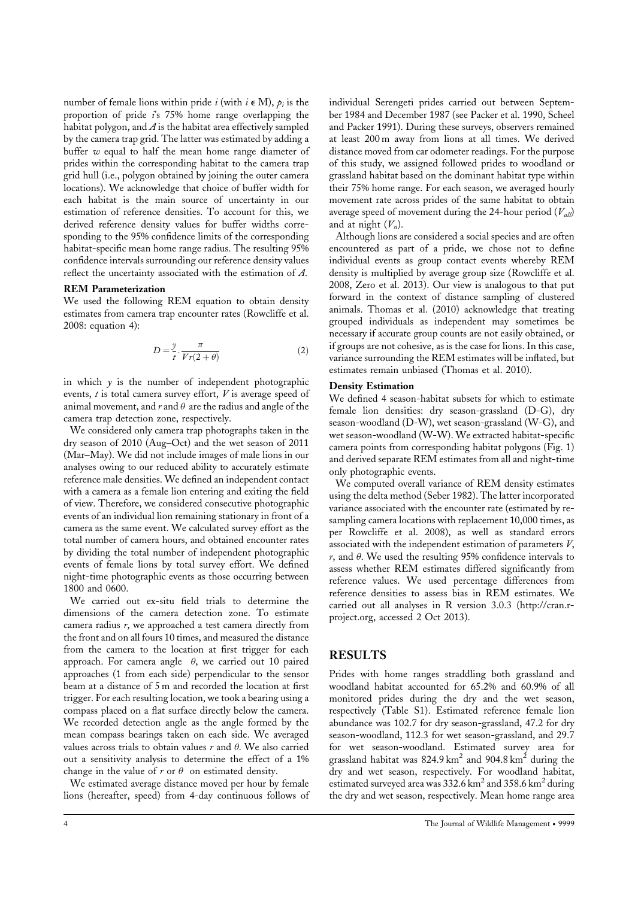number of female lions within pride i (with  $i \in M$ ),  $p_i$  is the proportion of pride  $i$ 's 75% home range overlapping the habitat polygon, and  $A$  is the habitat area effectively sampled by the camera trap grid. The latter was estimated by adding a buffer  $w$  equal to half the mean home range diameter of prides within the corresponding habitat to the camera trap grid hull (i.e., polygon obtained by joining the outer camera locations). We acknowledge that choice of buffer width for each habitat is the main source of uncertainty in our estimation of reference densities. To account for this, we derived reference density values for buffer widths corresponding to the 95% confidence limits of the corresponding habitat-specific mean home range radius. The resulting 95% confidence intervals surrounding our reference density values reflect the uncertainty associated with the estimation of A.

#### REM Parameterization

We used the following REM equation to obtain density estimates from camera trap encounter rates (Rowcliffe et al. 2008: equation 4):

$$
D = \frac{y}{t} \cdot \frac{\pi}{V r (2 + \theta)}\tag{2}
$$

in which  $y$  is the number of independent photographic events,  $t$  is total camera survey effort,  $V$  is average speed of animal movement, and r and  $\theta$  are the radius and angle of the camera trap detection zone, respectively.

We considered only camera trap photographs taken in the dry season of 2010 (Aug–Oct) and the wet season of 2011 (Mar–May). We did not include images of male lions in our analyses owing to our reduced ability to accurately estimate reference male densities. We defined an independent contact with a camera as a female lion entering and exiting the field of view. Therefore, we considered consecutive photographic events of an individual lion remaining stationary in front of a camera as the same event. We calculated survey effort as the total number of camera hours, and obtained encounter rates by dividing the total number of independent photographic events of female lions by total survey effort. We defined night-time photographic events as those occurring between 1800 and 0600.

We carried out ex-situ field trials to determine the dimensions of the camera detection zone. To estimate camera radius  $r$ , we approached a test camera directly from the front and on all fours 10 times, and measured the distance from the camera to the location at first trigger for each approach. For camera angle  $\theta$ , we carried out 10 paired approaches (1 from each side) perpendicular to the sensor beam at a distance of 5 m and recorded the location at first trigger. For each resulting location, we took a bearing using a compass placed on a flat surface directly below the camera. We recorded detection angle as the angle formed by the mean compass bearings taken on each side. We averaged values across trials to obtain values  $r$  and  $\theta$ . We also carried out a sensitivity analysis to determine the effect of a 1% change in the value of  $r$  or  $\theta$  on estimated density.

We estimated average distance moved per hour by female lions (hereafter, speed) from 4-day continuous follows of individual Serengeti prides carried out between September 1984 and December 1987 (see Packer et al. 1990, Scheel and Packer 1991). During these surveys, observers remained at least 200 m away from lions at all times. We derived distance moved from car odometer readings. For the purpose of this study, we assigned followed prides to woodland or grassland habitat based on the dominant habitat type within their 75% home range. For each season, we averaged hourly movement rate across prides of the same habitat to obtain average speed of movement during the 24-hour period  $(V_{all})$ and at night  $(V_n)$ .

Although lions are considered a social species and are often encountered as part of a pride, we chose not to define individual events as group contact events whereby REM density is multiplied by average group size (Rowcliffe et al. 2008, Zero et al. 2013). Our view is analogous to that put forward in the context of distance sampling of clustered animals. Thomas et al. (2010) acknowledge that treating grouped individuals as independent may sometimes be necessary if accurate group counts are not easily obtained, or if groups are not cohesive, as is the case for lions. In this case, variance surrounding the REM estimates will be inflated, but estimates remain unbiased (Thomas et al. 2010).

#### Density Estimation

We defined 4 season-habitat subsets for which to estimate female lion densities: dry season-grassland (D-G), dry season-woodland (D-W), wet season-grassland (W-G), and wet season-woodland (W-W). We extracted habitat-specific camera points from corresponding habitat polygons (Fig. 1) and derived separate REM estimates from all and night-time only photographic events.

We computed overall variance of REM density estimates using the delta method (Seber 1982). The latter incorporated variance associated with the encounter rate (estimated by resampling camera locations with replacement 10,000 times, as per Rowcliffe et al. 2008), as well as standard errors associated with the independent estimation of parameters V,  $r$ , and  $\theta$ . We used the resulting 95% confidence intervals to assess whether REM estimates differed significantly from reference values. We used percentage differences from reference densities to assess bias in REM estimates. We carried out all analyses in R version 3.0.3 (http://cran.rproject.org, accessed 2 Oct 2013).

#### RESULTS

Prides with home ranges straddling both grassland and woodland habitat accounted for 65.2% and 60.9% of all monitored prides during the dry and the wet season, respectively (Table S1). Estimated reference female lion abundance was 102.7 for dry season-grassland, 47.2 for dry season-woodland, 112.3 for wet season-grassland, and 29.7 for wet season-woodland. Estimated survey area for grassland habitat was  $824.9 \text{ km}^2$  and  $904.8 \text{ km}^2$  during the dry and wet season, respectively. For woodland habitat, estimated surveyed area was  $332.6 \text{ km}^2$  and  $358.6 \text{ km}^2$  during the dry and wet season, respectively. Mean home range area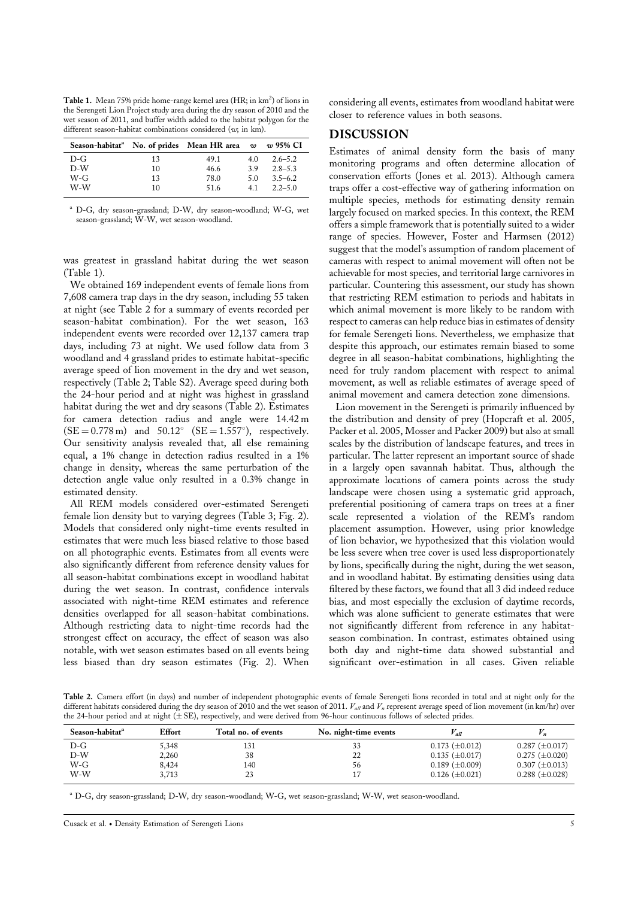**Table 1.** Mean 75% pride home-range kernel area (HR; in km<sup>2</sup>) of lions in the Serengeti Lion Project study area during the dry season of 2010 and the wet season of 2011, and buffer width added to the habitat polygon for the different season-habitat combinations considered  $(w; \text{ in } \text{ km})$ .

| Season-habitat <sup>a</sup> No. of prides Mean HR area |    |      | w   | w 95% CI    |
|--------------------------------------------------------|----|------|-----|-------------|
| $D-G$                                                  | 13 | 49.1 | 40  | $2.6 - 5.2$ |
| $D-W$                                                  | 10 | 46.6 | 39  | $2.8 - 5.3$ |
| $W-G$                                                  | 13 | 78.0 | 5.0 | $3.5 - 6.2$ |
| W-W                                                    | 10 | 51.6 | 41  | $2.2 - 5.0$ |

<sup>a</sup> D-G, dry season-grassland; D-W, dry season-woodland; W-G, wet season-grassland; W-W, wet season-woodland.

was greatest in grassland habitat during the wet season (Table 1).

We obtained 169 independent events of female lions from 7,608 camera trap days in the dry season, including 55 taken at night (see Table 2 for a summary of events recorded per season-habitat combination). For the wet season, 163 independent events were recorded over 12,137 camera trap days, including 73 at night. We used follow data from 3 woodland and 4 grassland prides to estimate habitat-specific average speed of lion movement in the dry and wet season, respectively (Table 2; Table S2). Average speed during both the 24-hour period and at night was highest in grassland habitat during the wet and dry seasons (Table 2). Estimates for camera detection radius and angle were 14.42 m  $(SE = 0.778 \text{ m})$  and  $50.12^{\circ}$   $(SE = 1.557^{\circ})$ , respectively. Our sensitivity analysis revealed that, all else remaining equal, a 1% change in detection radius resulted in a 1% change in density, whereas the same perturbation of the detection angle value only resulted in a 0.3% change in estimated density.

All REM models considered over-estimated Serengeti female lion density but to varying degrees (Table 3; Fig. 2). Models that considered only night-time events resulted in estimates that were much less biased relative to those based on all photographic events. Estimates from all events were also significantly different from reference density values for all season-habitat combinations except in woodland habitat during the wet season. In contrast, confidence intervals associated with night-time REM estimates and reference densities overlapped for all season-habitat combinations. Although restricting data to night-time records had the strongest effect on accuracy, the effect of season was also notable, with wet season estimates based on all events being less biased than dry season estimates (Fig. 2). When

considering all events, estimates from woodland habitat were closer to reference values in both seasons.

### DISCUSSION

Estimates of animal density form the basis of many monitoring programs and often determine allocation of conservation efforts (Jones et al. 2013). Although camera traps offer a cost-effective way of gathering information on multiple species, methods for estimating density remain largely focused on marked species. In this context, the REM offers a simple framework that is potentially suited to a wider range of species. However, Foster and Harmsen (2012) suggest that the model's assumption of random placement of cameras with respect to animal movement will often not be achievable for most species, and territorial large carnivores in particular. Countering this assessment, our study has shown that restricting REM estimation to periods and habitats in which animal movement is more likely to be random with respect to cameras can help reduce bias in estimates of density for female Serengeti lions. Nevertheless, we emphasize that despite this approach, our estimates remain biased to some degree in all season-habitat combinations, highlighting the need for truly random placement with respect to animal movement, as well as reliable estimates of average speed of animal movement and camera detection zone dimensions.

Lion movement in the Serengeti is primarily influenced by the distribution and density of prey (Hopcraft et al. 2005, Packer et al. 2005, Mosser and Packer 2009) but also at small scales by the distribution of landscape features, and trees in particular. The latter represent an important source of shade in a largely open savannah habitat. Thus, although the approximate locations of camera points across the study landscape were chosen using a systematic grid approach, preferential positioning of camera traps on trees at a finer scale represented a violation of the REM's random placement assumption. However, using prior knowledge of lion behavior, we hypothesized that this violation would be less severe when tree cover is used less disproportionately by lions, specifically during the night, during the wet season, and in woodland habitat. By estimating densities using data filtered by these factors, we found that all 3 did indeed reduce bias, and most especially the exclusion of daytime records, which was alone sufficient to generate estimates that were not significantly different from reference in any habitatseason combination. In contrast, estimates obtained using both day and night-time data showed substantial and significant over-estimation in all cases. Given reliable

Table 2. Camera effort (in days) and number of independent photographic events of female Serengeti lions recorded in total and at night only for the different habitats considered during the dry season of 2010 and the wet season of 2011.  $V_{all}$  and  $V_n$  represent average speed of lion movement (in km/hr) over the 24-hour period and at night  $(\pm$  SE), respectively, and were derived from 96-hour continuous follows of selected prides.

| Season-habitat <sup>a</sup> | Effort | Total no. of events | No. night-time events | ' all                 |                       |
|-----------------------------|--------|---------------------|-----------------------|-----------------------|-----------------------|
| D-G                         | 5,348  | 131                 | 55                    | $0.173 \ (\pm 0.012)$ | $0.287 \ (\pm 0.017)$ |
| $D-W$                       | 2,260  | 38                  | 22                    | $0.135 \ (\pm 0.017)$ | $0.275 \ (\pm 0.020)$ |
| $W-G$                       | 8,424  | 140                 | 56                    | $0.189 \ (\pm 0.009)$ | $0.307 \ (\pm 0.013)$ |
| W-W                         | 3,713  | 23                  |                       | $0.126 \ (\pm 0.021)$ | $0.288 \ (\pm 0.028)$ |

<sup>a</sup> D-G, dry season-grassland; D-W, dry season-woodland; W-G, wet season-grassland; W-W, wet season-woodland.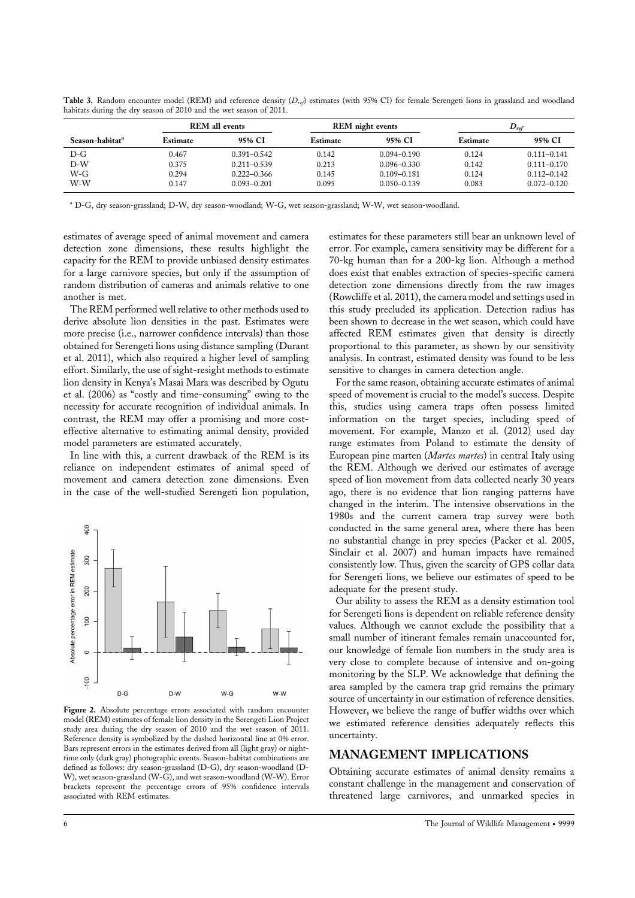|                             | <b>REM</b> all events |                 | <b>REM</b> night events |                 | $D_{ref}$ |                 |
|-----------------------------|-----------------------|-----------------|-------------------------|-----------------|-----------|-----------------|
| Season-habitat <sup>a</sup> | Estimate              | 95% CI          | Estimate                | 95% CI          | Estimate  | 95% CI          |
| $D-G$                       | 0.467                 | $0.391 - 0.542$ | 0.142                   | $0.094 - 0.190$ | 0.124     | $0.111 - 0.141$ |
| $D-W$                       | 0.375                 | $0.211 - 0.539$ | 0.213                   | $0.096 - 0.330$ | 0.142     | $0.111 - 0.170$ |
| $W-G$                       | 0.294                 | $0.222 - 0.366$ | 0.145                   | $0.109 - 0.181$ | 0.124     | $0.112 - 0.142$ |
| W-W                         | 0.147                 | $0.093 - 0.201$ | 0.095                   | $0.050 - 0.139$ | 0.083     | $0.072 - 0.120$ |

Table 3. Random encounter model (REM) and reference density  $(D_{ref})$  estimates (with 95% CI) for female Serengeti lions in grassland and woodland habitats during the dry season of 2010 and the wet season of 2011.

<sup>a</sup> D-G, dry season-grassland; D-W, dry season-woodland; W-G, wet season-grassland; W-W, wet season-woodland.

estimates of average speed of animal movement and camera detection zone dimensions, these results highlight the capacity for the REM to provide unbiased density estimates for a large carnivore species, but only if the assumption of random distribution of cameras and animals relative to one another is met.

The REM performed well relative to other methods used to derive absolute lion densities in the past. Estimates were more precise (i.e., narrower confidence intervals) than those obtained for Serengeti lions using distance sampling (Durant et al. 2011), which also required a higher level of sampling effort. Similarly, the use of sight-resight methods to estimate lion density in Kenya's Masai Mara was described by Ogutu et al. (2006) as "costly and time-consuming" owing to the necessity for accurate recognition of individual animals. In contrast, the REM may offer a promising and more costeffective alternative to estimating animal density, provided model parameters are estimated accurately.

In line with this, a current drawback of the REM is its reliance on independent estimates of animal speed of movement and camera detection zone dimensions. Even in the case of the well-studied Serengeti lion population,



Figure 2. Absolute percentage errors associated with random encounter model (REM) estimates of female lion density in the Serengeti Lion Project study area during the dry season of 2010 and the wet season of 2011. Reference density is symbolized by the dashed horizontal line at 0% error. Bars represent errors in the estimates derived from all (light gray) or nighttime only (dark gray) photographic events. Season-habitat combinations are defined as follows: dry season-grassland (D-G), dry season-woodland (D-W), wet season-grassland (W-G), and wet season-woodland (W-W). Error brackets represent the percentage errors of 95% confidence intervals associated with REM estimates.

estimates for these parameters still bear an unknown level of error. For example, camera sensitivity may be different for a 70-kg human than for a 200-kg lion. Although a method does exist that enables extraction of species-specific camera detection zone dimensions directly from the raw images (Rowcliffe et al. 2011), the camera model and settings used in this study precluded its application. Detection radius has been shown to decrease in the wet season, which could have affected REM estimates given that density is directly proportional to this parameter, as shown by our sensitivity analysis. In contrast, estimated density was found to be less sensitive to changes in camera detection angle.

For the same reason, obtaining accurate estimates of animal speed of movement is crucial to the model's success. Despite this, studies using camera traps often possess limited information on the target species, including speed of movement. For example, Manzo et al. (2012) used day range estimates from Poland to estimate the density of European pine marten (Martes martes) in central Italy using the REM. Although we derived our estimates of average speed of lion movement from data collected nearly 30 years ago, there is no evidence that lion ranging patterns have changed in the interim. The intensive observations in the 1980s and the current camera trap survey were both conducted in the same general area, where there has been no substantial change in prey species (Packer et al. 2005, Sinclair et al. 2007) and human impacts have remained consistently low. Thus, given the scarcity of GPS collar data for Serengeti lions, we believe our estimates of speed to be adequate for the present study.

Our ability to assess the REM as a density estimation tool for Serengeti lions is dependent on reliable reference density values. Although we cannot exclude the possibility that a small number of itinerant females remain unaccounted for, our knowledge of female lion numbers in the study area is very close to complete because of intensive and on-going monitoring by the SLP. We acknowledge that defining the area sampled by the camera trap grid remains the primary source of uncertainty in our estimation of reference densities. However, we believe the range of buffer widths over which we estimated reference densities adequately reflects this uncertainty.

## MANAGEMENT IMPLICATIONS

Obtaining accurate estimates of animal density remains a constant challenge in the management and conservation of threatened large carnivores, and unmarked species in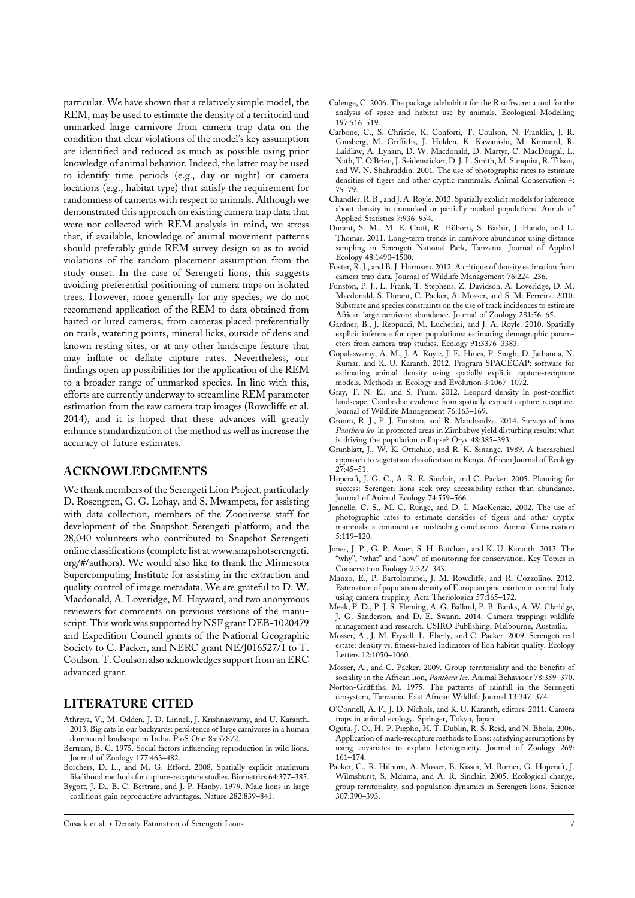particular. We have shown that a relatively simple model, the REM, may be used to estimate the density of a territorial and unmarked large carnivore from camera trap data on the condition that clear violations of the model's key assumption are identified and reduced as much as possible using prior knowledge of animal behavior. Indeed, the latter may be used to identify time periods (e.g., day or night) or camera locations (e.g., habitat type) that satisfy the requirement for randomness of cameras with respect to animals. Although we demonstrated this approach on existing camera trap data that were not collected with REM analysis in mind, we stress that, if available, knowledge of animal movement patterns should preferably guide REM survey design so as to avoid violations of the random placement assumption from the study onset. In the case of Serengeti lions, this suggests avoiding preferential positioning of camera traps on isolated trees. However, more generally for any species, we do not recommend application of the REM to data obtained from baited or lured cameras, from cameras placed preferentially on trails, watering points, mineral licks, outside of dens and known resting sites, or at any other landscape feature that may inflate or deflate capture rates. Nevertheless, our findings open up possibilities for the application of the REM to a broader range of unmarked species. In line with this, efforts are currently underway to streamline REM parameter estimation from the raw camera trap images (Rowcliffe et al. 2014), and it is hoped that these advances will greatly enhance standardization of the method as well as increase the accuracy of future estimates.

#### ACKNOWLEDGMENTS

We thank members of the Serengeti Lion Project, particularly D. Rosengren, G. G. Lohay, and S. Mwampeta, for assisting with data collection, members of the Zooniverse staff for development of the Snapshot Serengeti platform, and the 28,040 volunteers who contributed to Snapshot Serengeti online classifications (complete list at www.snapshotserengeti. org/#/authors). We would also like to thank the Minnesota Supercomputing Institute for assisting in the extraction and quality control of image metadata. We are grateful to D. W. Macdonald, A. Loveridge, M. Hayward, and two anonymous reviewers for comments on previous versions of the manuscript. This work was supported by NSF grant DEB-1020479 and Expedition Council grants of the National Geographic Society to C. Packer, and NERC grant NE/J016527/1 to T. Coulson. T. Coulson also acknowledges support from an ERC advanced grant.

## LITERATURE CITED

- Athreya, V., M. Odden, J. D. Linnell, J. Krishnaswamy, and U. Karanth. 2013. Big cats in our backyards: persistence of large carnivores in a human dominated landscape in India. PloS One 8:e57872.
- Bertram, B. C. 1975. Social factors influencing reproduction in wild lions. Journal of Zoology 177:463–482.
- Borchers, D. L., and M. G. Efford. 2008. Spatially explicit maximum likelihood methods for capture-recapture studies. Biometrics 64:377–385.
- Bygott, J. D., B. C. Bertram, and J. P. Hanby. 1979. Male lions in large coalitions gain reproductive advantages. Nature 282:839–841.
- Calenge, C. 2006. The package adehabitat for the R software: a tool for the analysis of space and habitat use by animals. Ecological Modelling 197:516–519.
- Carbone, C., S. Christie, K. Conforti, T. Coulson, N. Franklin, J. R. Ginsberg, M. Griffiths, J. Holden, K. Kawanishi, M. Kinnaird, R. Laidlaw, A. Lynam, D. W. Macdonald, D. Martyr, C. MacDougal, L. Nath, T. O'Brien, J. Seidensticker, D. J. L. Smith, M. Sunquist, R. Tilson, and W. N. Shahruddin. 2001. The use of photographic rates to estimate densities of tigers and other cryptic mammals. Animal Conservation 4: 75–79.
- Chandler, R. B., and J. A. Royle. 2013. Spatially explicit models for inference about density in unmarked or partially marked populations. Annals of Applied Statistics 7:936–954.
- Durant, S. M., M. E. Craft, R. Hilborn, S. Bashir, J. Hando, and L. Thomas. 2011. Long-term trends in carnivore abundance using distance sampling in Serengeti National Park, Tanzania. Journal of Applied Ecology 48:1490–1500.
- Foster, R. J., and B. J. Harmsen. 2012. A critique of density estimation from camera trap data. Journal of Wildlife Management 76:224–236.
- Funston, P. J., L. Frank, T. Stephens, Z. Davidson, A. Loveridge, D. M. Macdonald, S. Durant, C. Packer, A. Mosser, and S. M. Ferreira. 2010. Substrate and species constraints on the use of track incidences to estimate African large carnivore abundance. Journal of Zoology 281:56–65.
- Gardner, B., J. Reppucci, M. Lucherini, and J. A. Royle. 2010. Spatially explicit inference for open populations: estimating demographic parameters from camera-trap studies. Ecology 91:3376–3383.
- Gopalaswamy, A. M., J. A. Royle, J. E. Hines, P. Singh, D. Jathanna, N. Kumar, and K. U. Karanth. 2012. Program SPACECAP: software for estimating animal density using spatially explicit capture-recapture models. Methods in Ecology and Evolution 3:1067–1072.
- Gray, T. N. E., and S. Prum. 2012. Leopard density in post-conflict landscape, Cambodia: evidence from spatially-explicit capture-recapture. Journal of Wildlife Management 76:163–169.
- Groom, R. J., P. J. Funston, and R. Mandisodza. 2014. Surveys of lions Panthera leo in protected areas in Zimbabwe yield disturbing results: what is driving the population collapse? Oryx 48:385–393.
- Grunblatt, J., W. K. Ottichilo, and R. K. Sinange. 1989. A hierarchical approach to vegetation classification in Kenya. African Journal of Ecology  $27:45 - 51$ .
- Hopcraft, J. G. C., A. R. E. Sinclair, and C. Packer. 2005. Planning for success: Serengeti lions seek prey accessibility rather than abundance. Journal of Animal Ecology 74:559–566.
- Jennelle, C. S., M. C. Runge, and D. I. MacKenzie. 2002. The use of photographic rates to estimate densities of tigers and other cryptic mammals: a comment on misleading conclusions. Animal Conservation 5:119–120.
- Jones, J. P., G. P. Asner, S. H. Butchart, and K. U. Karanth. 2013. The "why", "what" and "how" of monitoring for conservation. Key Topics in Conservation Biology 2:327–343.
- Manzo, E., P. Bartolommei, J. M. Rowcliffe, and R. Cozzolino. 2012. Estimation of population density of European pine marten in central Italy using camera trapping. Acta Theriologica 57:165–172.
- Meek, P. D., P. J. S. Fleming, A. G. Ballard, P. B. Banks, A. W. Claridge, J. G. Sanderson, and D. E. Swann. 2014. Camera trapping: wildlife management and research. CSIRO Publishing, Melbourne, Australia.
- Mosser, A., J. M. Fryxell, L. Eberly, and C. Packer. 2009. Serengeti real estate: density vs. fitness-based indicators of lion habitat quality. Ecology Letters 12:1050–1060.
- Mosser, A., and C. Packer. 2009. Group territoriality and the benefits of sociality in the African lion, Panthera leo. Animal Behaviour 78:359–370.
- Norton-Griffiths, M. 1975. The patterns of rainfall in the Serengeti ecosystem, Tanzania. East African Wildlife Journal 13:347–374.
- O'Connell, A. F., J. D. Nichols, and K. U. Karanth, editors. 2011. Camera traps in animal ecology. Springer, Tokyo, Japan.
- Ogutu, J. O., H.-P. Piepho, H. T. Dublin, R. S. Reid, and N. Bhola. 2006. Application of mark-recapture methods to lions: satisfying assumptions by using covariates to explain heterogeneity. Journal of Zoology 269: 161–174.
- Packer, C., R. Hilborn, A. Mosser, B. Kissui, M. Borner, G. Hopcraft, J. Wilmshurst, S. Mduma, and A. R. Sinclair. 2005. Ecological change, group territoriality, and population dynamics in Serengeti lions. Science 307:390–393.